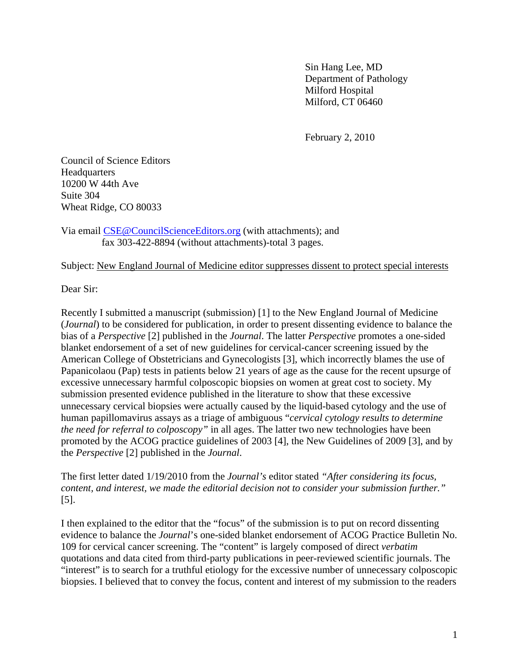Sin Hang Lee, MD Department of Pathology Milford Hospital Milford, CT 06460

February 2, 2010

Council of Science Editors **Headquarters** 10200 W 44th Ave Suite 304 Wheat Ridge, CO 80033

Via email [CSE@CouncilScienceEditors.org](mailto:CSE@CouncilScienceEditors.org) (with attachments); and fax 303-422-8894 (without attachments)-total 3 pages.

Subject: New England Journal of Medicine editor suppresses dissent to protect special interests

Dear Sir:

Recently I submitted a manuscript (submission) [1] to the New England Journal of Medicine (*Journal*) to be considered for publication, in order to present dissenting evidence to balance the bias of a *Perspective* [2] published in the *Journal*. The latter *Perspective* promotes a one-sided blanket endorsement of a set of new guidelines for cervical-cancer screening issued by the American College of Obstetricians and Gynecologists [3], which incorrectly blames the use of Papanicolaou (Pap) tests in patients below 21 years of age as the cause for the recent upsurge of excessive unnecessary harmful colposcopic biopsies on women at great cost to society. My submission presented evidence published in the literature to show that these excessive unnecessary cervical biopsies were actually caused by the liquid-based cytology and the use of human papillomavirus assays as a triage of ambiguous "*cervical cytology results to determine the need for referral to colposcopy"* in all ages. The latter two new technologies have been promoted by the ACOG practice guidelines of 2003 [4], the New Guidelines of 2009 [3], and by the *Perspective* [2] published in the *Journal*.

The first letter dated 1/19/2010 from the *Journal's* editor stated *"After considering its focus, content, and interest, we made the editorial decision not to consider your submission further."*  [5].

I then explained to the editor that the "focus" of the submission is to put on record dissenting evidence to balance the *Journal*'s one-sided blanket endorsement of ACOG Practice Bulletin No. 109 for cervical cancer screening. The "content" is largely composed of direct *verbatim* quotations and data cited from third-party publications in peer-reviewed scientific journals. The "interest" is to search for a truthful etiology for the excessive number of unnecessary colposcopic biopsies. I believed that to convey the focus, content and interest of my submission to the readers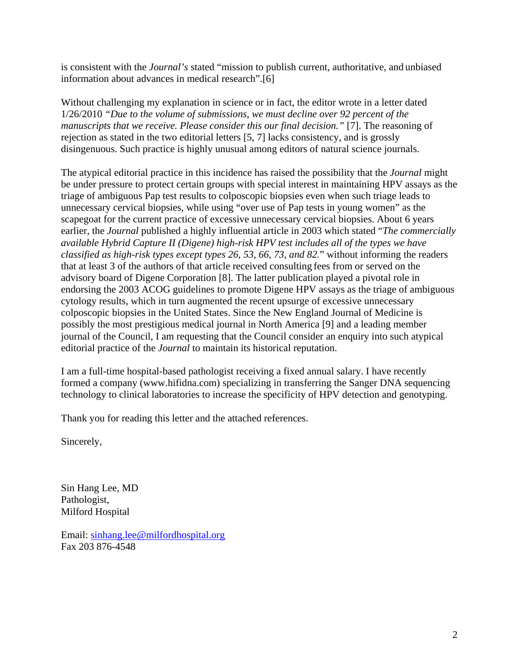is consistent with the *Journal's* stated "mission to publish current, authoritative, and unbiased information about advances in medical research".[6]

Without challenging my explanation in science or in fact, the editor wrote in a letter dated 1/26/2010 *"Due to the volume of submissions, we must decline over 92 percent of the manuscripts that we receive. Please consider this our final decision.*" [7]. The reasoning of rejection as stated in the two editorial letters [5, 7] lacks consistency, and is grossly disingenuous. Such practice is highly unusual among editors of natural science journals.

The atypical editorial practice in this incidence has raised the possibility that the *Journal* might be under pressure to protect certain groups with special interest in maintaining HPV assays as the triage of ambiguous Pap test results to colposcopic biopsies even when such triage leads to unnecessary cervical biopsies, while using "over use of Pap tests in young women" as the scapegoat for the current practice of excessive unnecessary cervical biopsies. About 6 years earlier, the *Journal* published a highly influential article in 2003 which stated "*The commercially available Hybrid Capture II (Digene) high-risk HPV test includes all of the types we have classified as high-risk types except types 26, 53, 66, 73, and 82.*" without informing the readers that at least 3 of the authors of that article received consulting fees from or served on the advisory board of Digene Corporation [8]. The latter publication played a pivotal role in endorsing the 2003 ACOG guidelines to promote Digene HPV assays as the triage of ambiguous cytology results, which in turn augmented the recent upsurge of excessive unnecessary colposcopic biopsies in the United States. Since the New England Journal of Medicine is possibly the most prestigious medical journal in North America [9] and a leading member journal of the Council, I am requesting that the Council consider an enquiry into such atypical editorial practice of the *Journal* to maintain its historical reputation.

I am a full-time hospital-based pathologist receiving a fixed annual salary. I have recently formed a company (www.hifidna.com) specializing in transferring the Sanger DNA sequencing technology to clinical laboratories to increase the specificity of HPV detection and genotyping.

Thank you for reading this letter and the attached references.

Sincerely,

Sin Hang Lee, MD Pathologist, Milford Hospital

Email: [sinhang.lee@milfordhospital.org](mailto:sinhang.lee@milfordhospital.org) Fax 203 876-4548